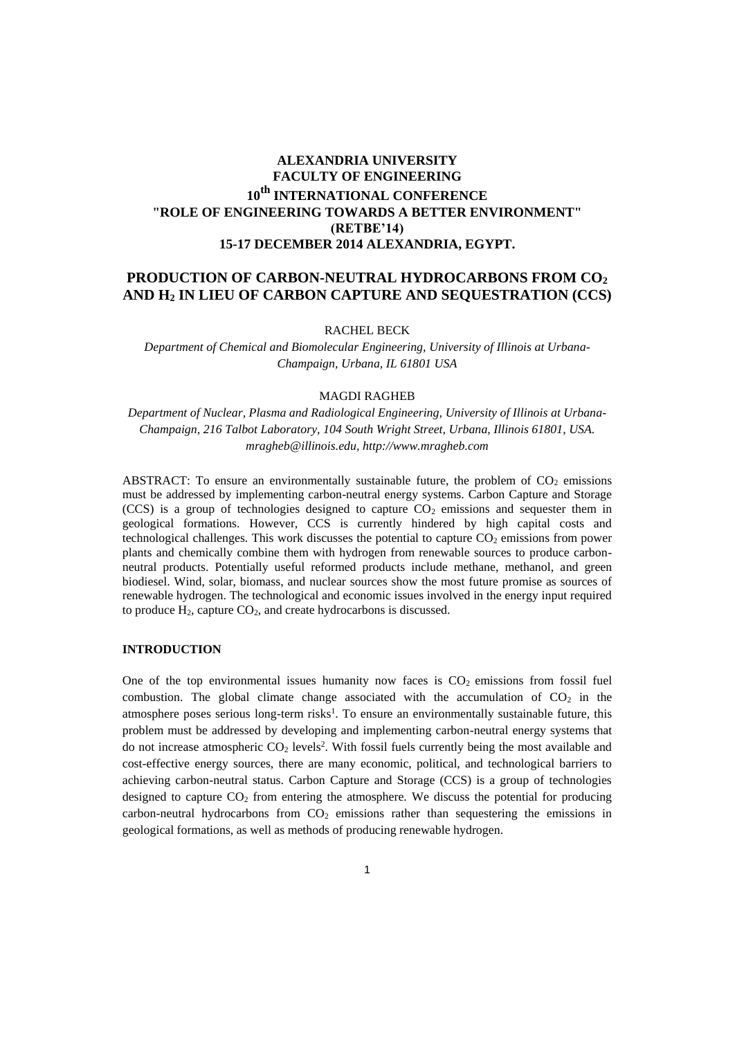# **ALEXANDRIA UNIVERSITY FACULTY OF ENGINEERING 10th INTERNATIONAL CONFERENCE "ROLE OF ENGINEERING TOWARDS A BETTER ENVIRONMENT" (RETBE'14) 15-17 DECEMBER 2014 ALEXANDRIA, EGYPT.**

# **PRODUCTION OF CARBON-NEUTRAL HYDROCARBONS FROM CO<sup>2</sup> AND H<sup>2</sup> IN LIEU OF CARBON CAPTURE AND SEQUESTRATION (CCS)**

RACHEL BECK

*Department of Chemical and Biomolecular Engineering, University of Illinois at Urbana-Champaign, Urbana, IL 61801 USA* 

#### MAGDI RAGHEB

*Department of Nuclear, Plasma and Radiological Engineering, University of Illinois at Urbana-Champaign, 216 Talbot Laboratory, 104 South Wright Street, Urbana, Illinois 61801, USA. mragheb@illinois.edu, http://www.mragheb.com* 

ABSTRACT: To ensure an environmentally sustainable future, the problem of  $CO<sub>2</sub>$  emissions must be addressed by implementing carbon-neutral energy systems. Carbon Capture and Storage (CCS) is a group of technologies designed to capture  $CO<sub>2</sub>$  emissions and sequester them in geological formations. However, CCS is currently hindered by high capital costs and technological challenges. This work discusses the potential to capture  $CO<sub>2</sub>$  emissions from power plants and chemically combine them with hydrogen from renewable sources to produce carbonneutral products. Potentially useful reformed products include methane, methanol, and green biodiesel. Wind, solar, biomass, and nuclear sources show the most future promise as sources of renewable hydrogen. The technological and economic issues involved in the energy input required to produce  $H_2$ , capture  $CO_2$ , and create hydrocarbons is discussed.

## **INTRODUCTION**

One of the top environmental issues humanity now faces is  $CO<sub>2</sub>$  emissions from fossil fuel combustion. The global climate change associated with the accumulation of  $CO<sub>2</sub>$  in the atmosphere poses serious long-term risks<sup>1</sup>. To ensure an environmentally sustainable future, this problem must be addressed by developing and implementing carbon-neutral energy systems that do not increase atmospheric  $CO<sub>2</sub>$  levels<sup>2</sup>. With fossil fuels currently being the most available and cost-effective energy sources, there are many economic, political, and technological barriers to achieving carbon-neutral status. Carbon Capture and Storage (CCS) is a group of technologies designed to capture  $CO<sub>2</sub>$  from entering the atmosphere. We discuss the potential for producing carbon-neutral hydrocarbons from  $CO<sub>2</sub>$  emissions rather than sequestering the emissions in geological formations, as well as methods of producing renewable hydrogen.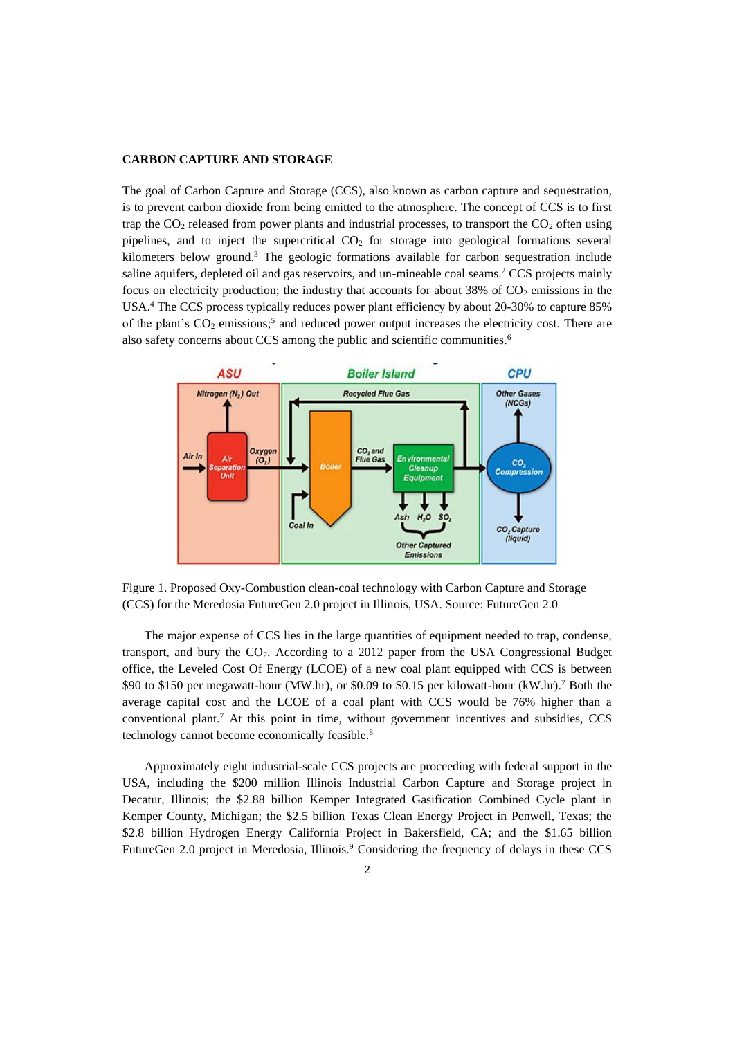## **CARBON CAPTURE AND STORAGE**

The goal of Carbon Capture and Storage (CCS), also known as carbon capture and sequestration, is to prevent carbon dioxide from being emitted to the atmosphere. The concept of CCS is to first trap the  $CO<sub>2</sub>$  released from power plants and industrial processes, to transport the  $CO<sub>2</sub>$  often using pipelines, and to inject the supercritical  $CO<sub>2</sub>$  for storage into geological formations several kilometers below ground.<sup>3</sup> The geologic formations available for carbon sequestration include saline aquifers, depleted oil and gas reservoirs, and un-mineable coal seams.<sup>2</sup> CCS projects mainly focus on electricity production; the industry that accounts for about 38% of  $CO<sub>2</sub>$  emissions in the USA.<sup>4</sup> The CCS process typically reduces power plant efficiency by about 20-30% to capture 85% of the plant's  $CO<sub>2</sub>$  emissions;<sup>5</sup> and reduced power output increases the electricity cost. There are also safety concerns about CCS among the public and scientific communities.<sup>6</sup>



Figure 1. Proposed Oxy-Combustion clean-coal technology with Carbon Capture and Storage (CCS) for the Meredosia FutureGen 2.0 project in Illinois, USA. Source: FutureGen 2.0

The major expense of CCS lies in the large quantities of equipment needed to trap, condense, transport, and bury the CO2. According to a 2012 paper from the USA Congressional Budget office, the Leveled Cost Of Energy (LCOE) of a new coal plant equipped with CCS is between \$90 to \$150 per megawatt-hour (MW.hr), or \$0.09 to \$0.15 per kilowatt-hour (kW.hr).<sup>7</sup> Both the average capital cost and the LCOE of a coal plant with CCS would be 76% higher than a conventional plant.<sup>7</sup> At this point in time, without government incentives and subsidies, CCS technology cannot become economically feasible.<sup>8</sup>

Approximately eight industrial-scale CCS projects are proceeding with federal support in the USA, including the \$200 million Illinois Industrial Carbon Capture and Storage project in Decatur, Illinois; the \$2.88 billion Kemper Integrated Gasification Combined Cycle plant in Kemper County, Michigan; the \$2.5 billion Texas Clean Energy Project in Penwell, Texas; the \$2.8 billion Hydrogen Energy California Project in Bakersfield, CA; and the \$1.65 billion FutureGen 2.0 project in Meredosia, Illinois.<sup>9</sup> Considering the frequency of delays in these CCS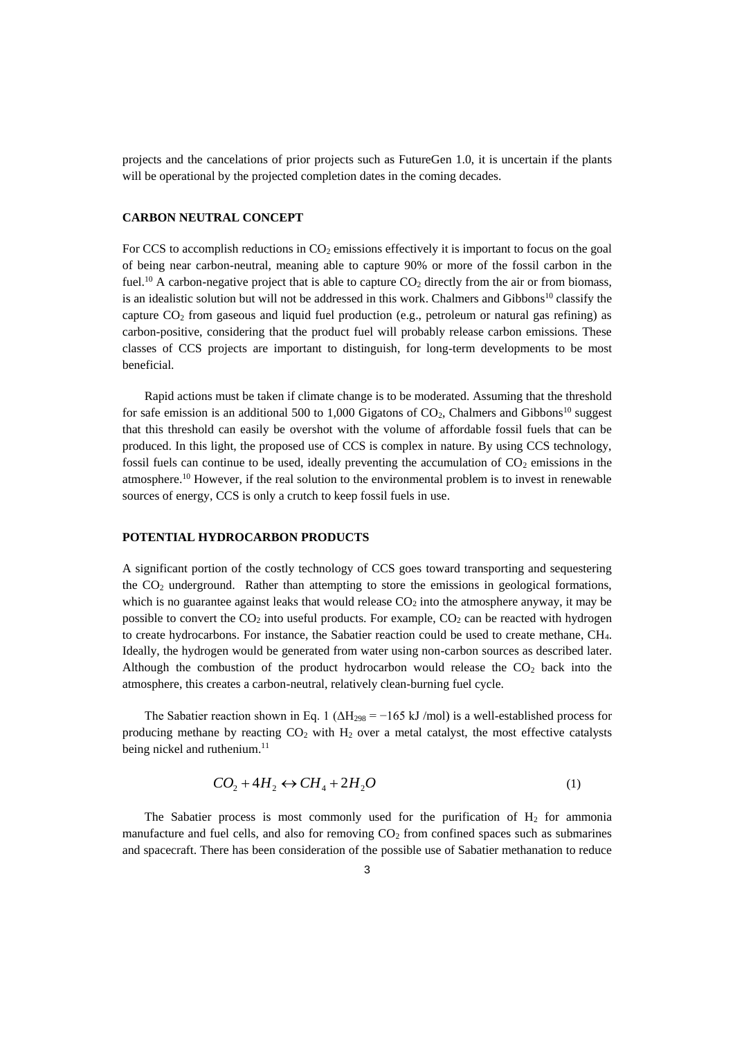projects and the cancelations of prior projects such as FutureGen 1.0, it is uncertain if the plants will be operational by the projected completion dates in the coming decades.

## **CARBON NEUTRAL CONCEPT**

For CCS to accomplish reductions in  $CO<sub>2</sub>$  emissions effectively it is important to focus on the goal of being near carbon-neutral, meaning able to capture 90% or more of the fossil carbon in the fuel.<sup>10</sup> A carbon-negative project that is able to capture  $CO<sub>2</sub>$  directly from the air or from biomass, is an idealistic solution but will not be addressed in this work. Chalmers and Gibbons<sup>10</sup> classify the capture  $CO<sub>2</sub>$  from gaseous and liquid fuel production (e.g., petroleum or natural gas refining) as carbon-positive, considering that the product fuel will probably release carbon emissions. These classes of CCS projects are important to distinguish, for long-term developments to be most beneficial.

Rapid actions must be taken if climate change is to be moderated. Assuming that the threshold for safe emission is an additional 500 to 1,000 Gigatons of  $CO<sub>2</sub>$ , Chalmers and Gibbons<sup>10</sup> suggest that this threshold can easily be overshot with the volume of affordable fossil fuels that can be produced. In this light, the proposed use of CCS is complex in nature. By using CCS technology, fossil fuels can continue to be used, ideally preventing the accumulation of  $CO<sub>2</sub>$  emissions in the atmosphere.<sup>10</sup> However, if the real solution to the environmental problem is to invest in renewable sources of energy, CCS is only a crutch to keep fossil fuels in use.

### **POTENTIAL HYDROCARBON PRODUCTS**

A significant portion of the costly technology of CCS goes toward transporting and sequestering the  $CO<sub>2</sub>$  underground. Rather than attempting to store the emissions in geological formations, which is no guarantee against leaks that would release  $CO<sub>2</sub>$  into the atmosphere anyway, it may be possible to convert the  $CO<sub>2</sub>$  into useful products. For example,  $CO<sub>2</sub>$  can be reacted with hydrogen to create hydrocarbons. For instance, the Sabatier reaction could be used to create methane, CH4. Ideally, the hydrogen would be generated from water using non-carbon sources as described later. Although the combustion of the product hydrocarbon would release the  $CO<sub>2</sub>$  back into the atmosphere, this creates a carbon-neutral, relatively clean-burning fuel cycle.

The Sabatier reaction shown in Eq. 1 ( $\Delta H_{298} = -165 \text{ kJ/mol}$ ) is a well-established process for producing methane by reacting  $CO<sub>2</sub>$  with  $H<sub>2</sub>$  over a metal catalyst, the most effective catalysts being nickel and ruthenium.<sup>11</sup>

$$
CO_2 + 4H_2 \leftrightarrow CH_4 + 2H_2O \tag{1}
$$

The Sabatier process is most commonly used for the purification of  $H_2$  for ammonia manufacture and fuel cells, and also for removing  $CO<sub>2</sub>$  from confined spaces such as submarines and spacecraft. There has been consideration of the possible use of Sabatier methanation to reduce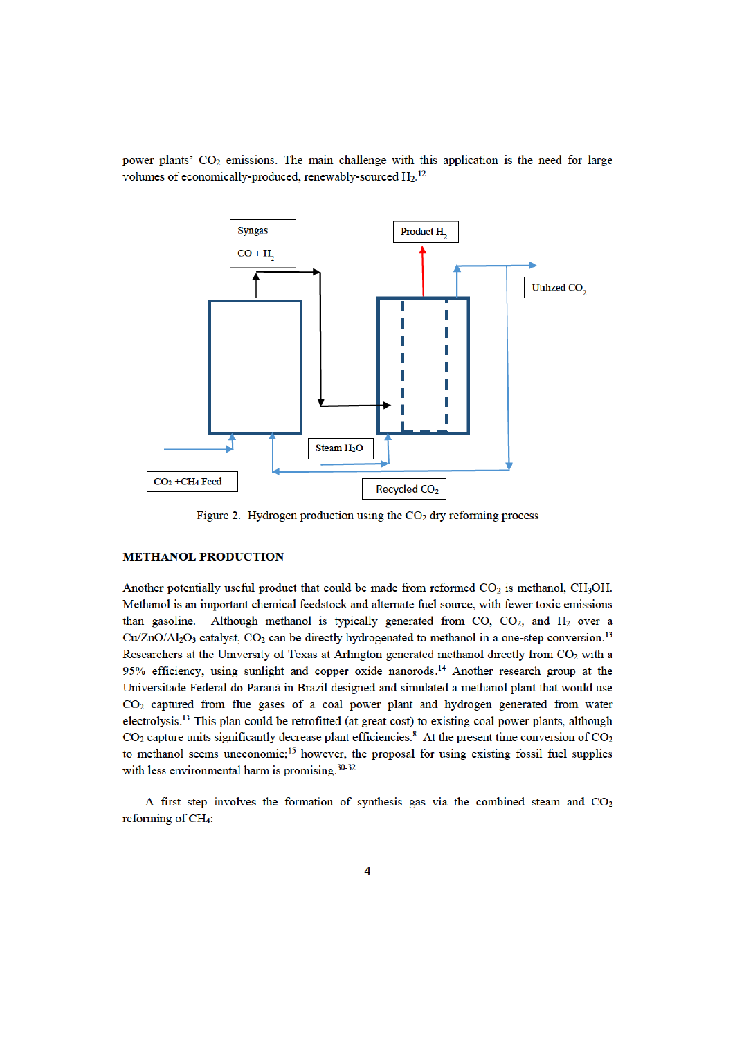power plants' CO<sub>2</sub> emissions. The main challenge with this application is the need for large volumes of economically-produced, renewably-sourced H<sub>2.</sub><sup>12</sup>



Figure 2. Hydrogen production using the  $CO<sub>2</sub>$  dry reforming process

## **METHANOL PRODUCTION**

Another potentially useful product that could be made from reformed  $CO<sub>2</sub>$  is methanol, CH<sub>3</sub>OH. Methanol is an important chemical feedstock and alternate fuel source, with fewer toxic emissions than gasoline. Although methanol is typically generated from CO,  $CO<sub>2</sub>$ , and  $H<sub>2</sub>$  over a  $Cu/ZnO/Al_2O_3$  catalyst,  $CO_2$  can be directly hydrogenated to methanol in a one-step conversion.<sup>13</sup> Researchers at the University of Texas at Arlington generated methanol directly from CO<sub>2</sub> with a 95% efficiency, using sunlight and copper oxide nanorods.<sup>14</sup> Another research group at the Universitade Federal do Paraná in Brazil designed and simulated a methanol plant that would use CO<sub>2</sub> captured from flue gases of a coal power plant and hydrogen generated from water electrolysis.<sup>13</sup> This plan could be retrofitted (at great cost) to existing coal power plants, although  $CO<sub>2</sub>$  capture units significantly decrease plant efficiencies.<sup>8</sup> At the present time conversion of  $CO<sub>2</sub>$ to methanol seems uneconomic;<sup>15</sup> however, the proposal for using existing fossil fuel supplies with less environmental harm is promising.<sup>30-32</sup>

A first step involves the formation of synthesis gas via the combined steam and CO2 reforming of CH<sub>4</sub>: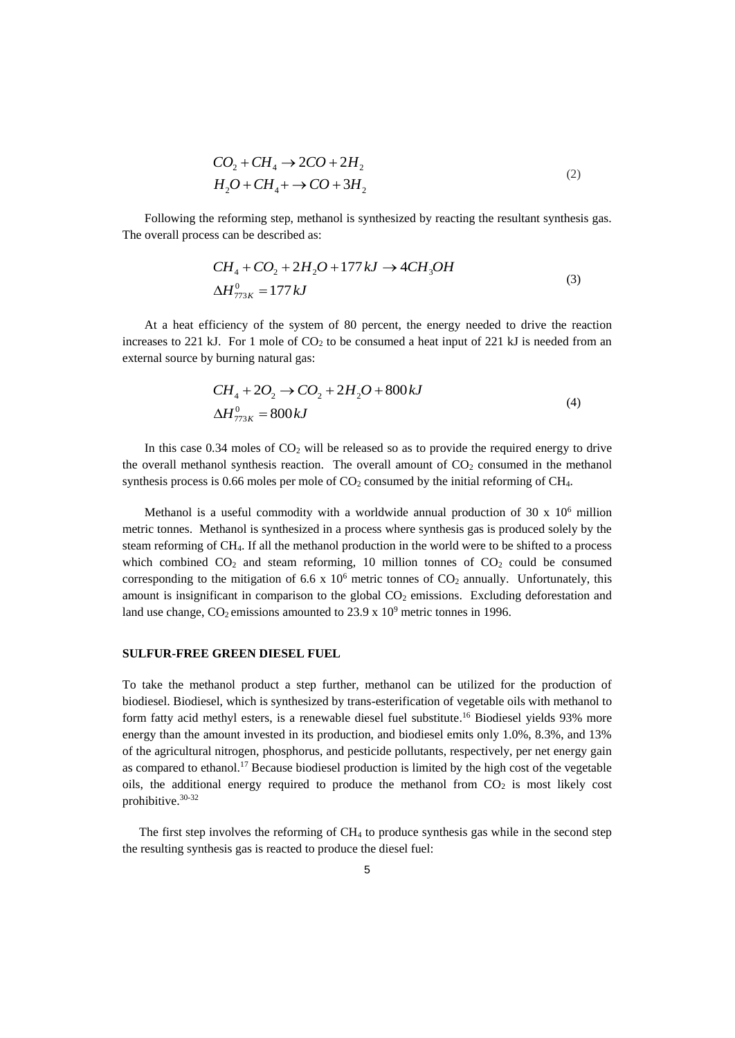$$
CO2 + CH4 \rightarrow 2CO + 2H2
$$
  

$$
H2O + CH4 + \rightarrow CO + 3H2
$$
 (2)

Following the reforming step, methanol is synthesized by reacting the resultant synthesis gas. The overall process can be described as:

$$
CH_4 + CO_2 + 2H_2O + 177 kJ \rightarrow 4CH_3OH
$$
  
\n $\Delta H_{773K}^0 = 177 kJ$  (3)

At a heat efficiency of the system of 80 percent, the energy needed to drive the reaction increases to 221 kJ. For 1 mole of  $CO<sub>2</sub>$  to be consumed a heat input of 221 kJ is needed from an external source by burning natural gas:

$$
CH_4 + 2O_2 \rightarrow CO_2 + 2H_2O + 800kJ
$$
  
\n
$$
\Delta H_{773K}^0 = 800kJ
$$
\n(4)

In this case  $0.34$  moles of  $CO<sub>2</sub>$  will be released so as to provide the required energy to drive the overall methanol synthesis reaction. The overall amount of  $CO<sub>2</sub>$  consumed in the methanol synthesis process is 0.66 moles per mole of  $CO<sub>2</sub>$  consumed by the initial reforming of CH<sub>4</sub>.

Methanol is a useful commodity with a worldwide annual production of 30 x 10<sup>6</sup> million metric tonnes. Methanol is synthesized in a process where synthesis gas is produced solely by the steam reforming of CH4. If all the methanol production in the world were to be shifted to a process which combined  $CO<sub>2</sub>$  and steam reforming, 10 million tonnes of  $CO<sub>2</sub>$  could be consumed corresponding to the mitigation of 6.6 x  $10^6$  metric tonnes of  $CO_2$  annually. Unfortunately, this amount is insignificant in comparison to the global CO<sub>2</sub> emissions. Excluding deforestation and land use change,  $CO_2$  emissions amounted to 23.9 x  $10^9$  metric tonnes in 1996.

#### **SULFUR-FREE GREEN DIESEL FUEL**

To take the methanol product a step further, methanol can be utilized for the production of biodiesel. Biodiesel, which is synthesized by trans-esterification of vegetable oils with methanol to form fatty acid methyl esters, is a renewable diesel fuel substitute.<sup>16</sup> Biodiesel yields 93% more energy than the amount invested in its production, and biodiesel emits only 1.0%, 8.3%, and 13% of the agricultural nitrogen, phosphorus, and pesticide pollutants, respectively, per net energy gain as compared to ethanol.<sup>17</sup> Because biodiesel production is limited by the high cost of the vegetable oils, the additional energy required to produce the methanol from  $CO<sub>2</sub>$  is most likely cost prohibitive.30-32

The first step involves the reforming of CH4 to produce synthesis gas while in the second step the resulting synthesis gas is reacted to produce the diesel fuel: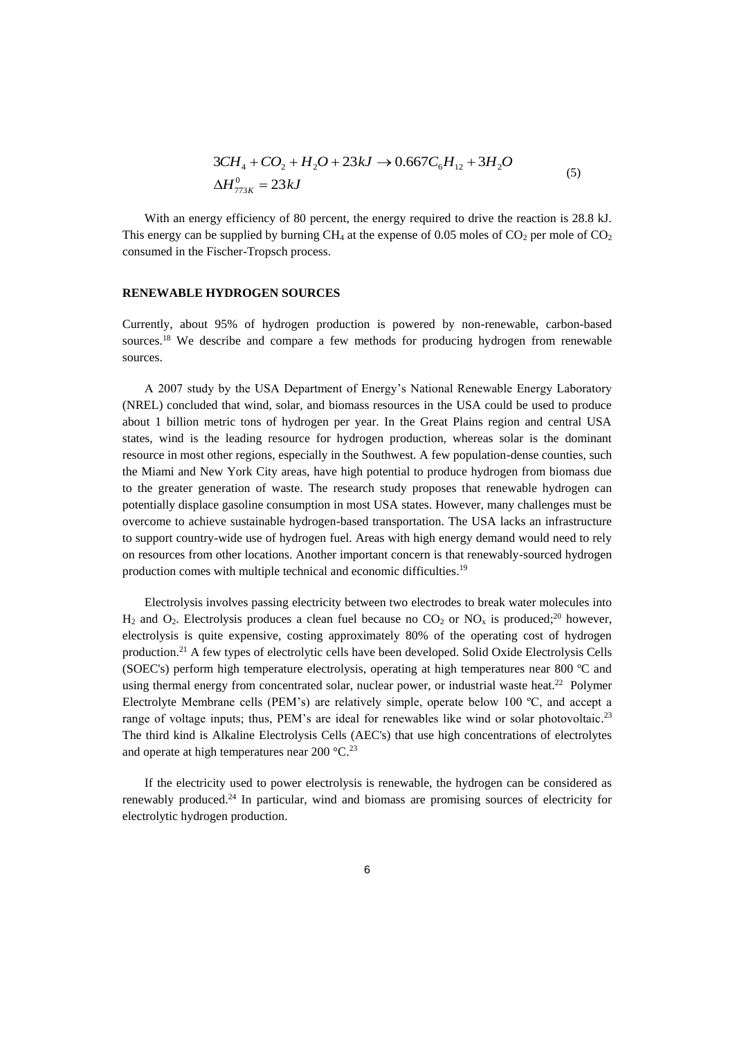$$
3CH4 + CO2 + H2O + 23kJ \rightarrow 0.667C6H12 + 3H2O
$$
  
\n
$$
\Delta H773K0 = 23kJ
$$
\n(5)

With an energy efficiency of 80 percent, the energy required to drive the reaction is 28.8 kJ. This energy can be supplied by burning  $CH_4$  at the expense of 0.05 moles of  $CO_2$  per mole of  $CO_2$ consumed in the Fischer-Tropsch process.

#### **RENEWABLE HYDROGEN SOURCES**

Currently, about 95% of hydrogen production is powered by non-renewable, carbon-based sources.<sup>18</sup> We describe and compare a few methods for producing hydrogen from renewable sources.

A 2007 study by the USA Department of Energy's National Renewable Energy Laboratory (NREL) concluded that wind, solar, and biomass resources in the USA could be used to produce about 1 billion metric tons of hydrogen per year. In the Great Plains region and central USA states, wind is the leading resource for hydrogen production, whereas solar is the dominant resource in most other regions, especially in the Southwest. A few population-dense counties, such the Miami and New York City areas, have high potential to produce hydrogen from biomass due to the greater generation of waste. The research study proposes that renewable hydrogen can potentially displace gasoline consumption in most USA states. However, many challenges must be overcome to achieve sustainable hydrogen-based transportation. The USA lacks an infrastructure to support country-wide use of hydrogen fuel. Areas with high energy demand would need to rely on resources from other locations. Another important concern is that renewably-sourced hydrogen production comes with multiple technical and economic difficulties.<sup>19</sup>

Electrolysis involves passing electricity between two electrodes to break water molecules into  $H_2$  and  $O_2$ . Electrolysis produces a clean fuel because no  $CO_2$  or  $NO_x$  is produced;<sup>20</sup> however, electrolysis is quite expensive, costing approximately 80% of the operating cost of hydrogen production.<sup>21</sup> A few types of electrolytic cells have been developed. Solid Oxide Electrolysis Cells (SOEC's) perform high temperature electrolysis, operating at high temperatures near 800 ºC and using thermal energy from concentrated solar, nuclear power, or industrial waste heat.<sup>22</sup> Polymer Electrolyte Membrane cells (PEM's) are relatively simple, operate below 100 ºC, and accept a range of voltage inputs; thus, PEM's are ideal for renewables like wind or solar photovoltaic.<sup>23</sup> The third kind is Alkaline Electrolysis Cells (AEC's) that use high concentrations of electrolytes and operate at high temperatures near  $200^{\circ}$ C.<sup>23</sup>

If the electricity used to power electrolysis is renewable, the hydrogen can be considered as renewably produced.<sup>24</sup> In particular, wind and biomass are promising sources of electricity for electrolytic hydrogen production.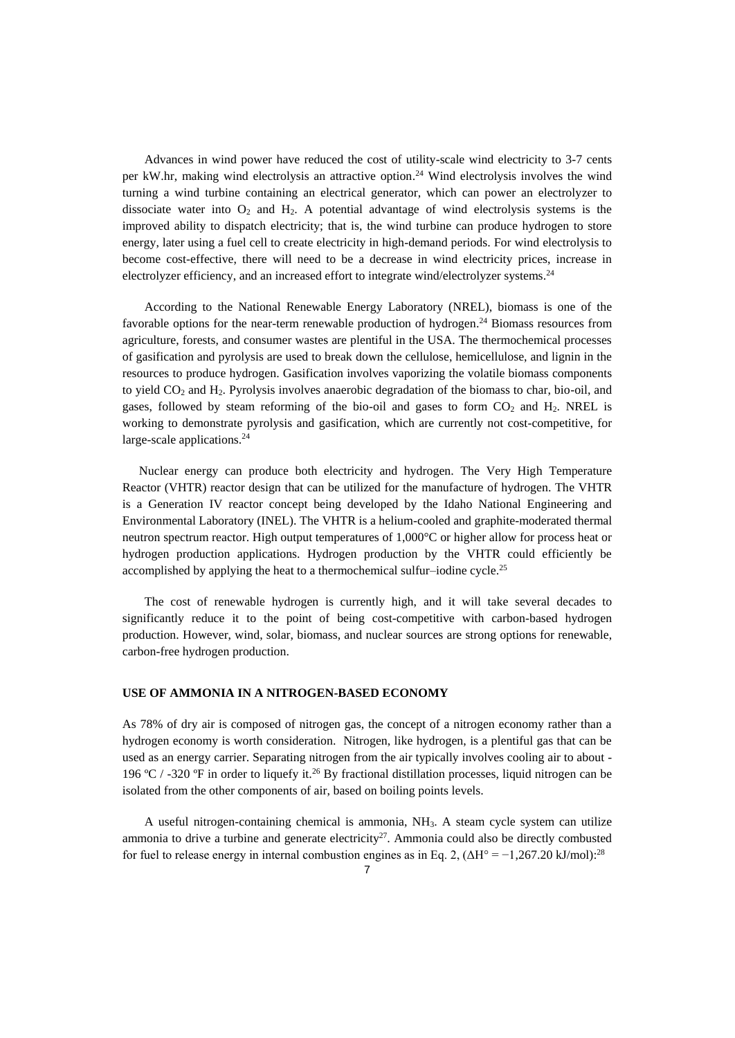Advances in wind power have reduced the cost of utility-scale wind electricity to 3-7 cents per kW.hr, making wind electrolysis an attractive option.<sup>24</sup> Wind electrolysis involves the wind turning a wind turbine containing an electrical generator, which can power an electrolyzer to dissociate water into  $O_2$  and  $H_2$ . A potential advantage of wind electrolysis systems is the improved ability to dispatch electricity; that is, the wind turbine can produce hydrogen to store energy, later using a fuel cell to create electricity in high-demand periods. For wind electrolysis to become cost-effective, there will need to be a decrease in wind electricity prices, increase in electrolyzer efficiency, and an increased effort to integrate wind/electrolyzer systems.<sup>24</sup>

According to the National Renewable Energy Laboratory (NREL), biomass is one of the favorable options for the near-term renewable production of hydrogen.<sup>24</sup> Biomass resources from agriculture, forests, and consumer wastes are plentiful in the USA. The thermochemical processes of gasification and pyrolysis are used to break down the cellulose, hemicellulose, and lignin in the resources to produce hydrogen. Gasification involves vaporizing the volatile biomass components to yield  $CO<sub>2</sub>$  and  $H<sub>2</sub>$ . Pyrolysis involves anaerobic degradation of the biomass to char, bio-oil, and gases, followed by steam reforming of the bio-oil and gases to form  $CO<sub>2</sub>$  and  $H<sub>2</sub>$ . NREL is working to demonstrate pyrolysis and gasification, which are currently not cost-competitive, for large-scale applications.<sup>24</sup>

Nuclear energy can produce both electricity and hydrogen. The Very High Temperature Reactor (VHTR) reactor design that can be utilized for the manufacture of hydrogen. The VHTR is a Generation IV reactor concept being developed by the Idaho National Engineering and Environmental Laboratory (INEL). The VHTR is a helium-cooled and graphite-moderated thermal neutron spectrum reactor. High output temperatures of 1,000°C or higher allow for process heat or hydrogen production applications. Hydrogen production by the VHTR could efficiently be accomplished by applying the heat to a thermochemical sulfur-iodine cycle.<sup>25</sup>

The cost of renewable hydrogen is currently high, and it will take several decades to significantly reduce it to the point of being cost-competitive with carbon-based hydrogen production. However, wind, solar, biomass, and nuclear sources are strong options for renewable, carbon-free hydrogen production.

## **USE OF AMMONIA IN A NITROGEN-BASED ECONOMY**

As 78% of dry air is composed of nitrogen gas, the concept of a nitrogen economy rather than a hydrogen economy is worth consideration. Nitrogen, like hydrogen, is a plentiful gas that can be used as an energy carrier. Separating nitrogen from the air typically involves cooling air to about - 196 ºC / -320 ºF in order to liquefy it.<sup>26</sup> By fractional distillation processes, liquid nitrogen can be isolated from the other components of air, based on boiling points levels.

A useful nitrogen-containing chemical is ammonia, NH3. A steam cycle system can utilize ammonia to drive a turbine and generate electricity<sup>27</sup>. Ammonia could also be directly combusted for fuel to release energy in internal combustion engines as in Eq. 2,  $(\Delta H^{\circ} = -1,267.20 \text{ kJ/mol})$ :<sup>28</sup>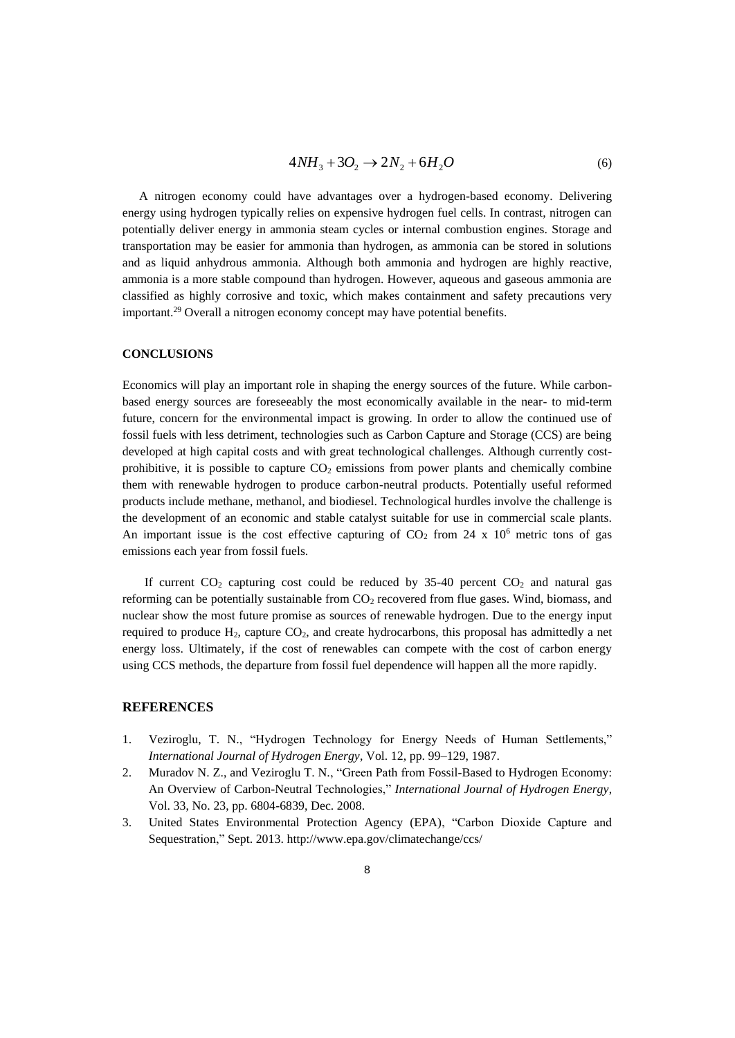$$
4NH_3 + 3O_2 \to 2N_2 + 6H_2O \tag{6}
$$

A nitrogen economy could have advantages over a hydrogen-based economy. Delivering energy using hydrogen typically relies on expensive hydrogen fuel cells. In contrast, nitrogen can potentially deliver energy in ammonia steam cycles or internal combustion engines. Storage and transportation may be easier for ammonia than hydrogen, as ammonia can be stored in solutions and as liquid anhydrous ammonia. Although both ammonia and hydrogen are highly reactive, ammonia is a more stable compound than hydrogen. However, aqueous and gaseous ammonia are classified as highly corrosive and toxic, which makes containment and safety precautions very important.<sup>29</sup> Overall a nitrogen economy concept may have potential benefits.

#### **CONCLUSIONS**

Economics will play an important role in shaping the energy sources of the future. While carbonbased energy sources are foreseeably the most economically available in the near- to mid-term future, concern for the environmental impact is growing. In order to allow the continued use of fossil fuels with less detriment, technologies such as Carbon Capture and Storage (CCS) are being developed at high capital costs and with great technological challenges. Although currently costprohibitive, it is possible to capture  $CO<sub>2</sub>$  emissions from power plants and chemically combine them with renewable hydrogen to produce carbon-neutral products. Potentially useful reformed products include methane, methanol, and biodiesel. Technological hurdles involve the challenge is the development of an economic and stable catalyst suitable for use in commercial scale plants. An important issue is the cost effective capturing of  $CO<sub>2</sub>$  from 24 x 10<sup>6</sup> metric tons of gas emissions each year from fossil fuels.

If current  $CO<sub>2</sub>$  capturing cost could be reduced by 35-40 percent  $CO<sub>2</sub>$  and natural gas reforming can be potentially sustainable from  $CO<sub>2</sub>$  recovered from flue gases. Wind, biomass, and nuclear show the most future promise as sources of renewable hydrogen. Due to the energy input required to produce  $H_2$ , capture  $CO_2$ , and create hydrocarbons, this proposal has admittedly a net energy loss. Ultimately, if the cost of renewables can compete with the cost of carbon energy using CCS methods, the departure from fossil fuel dependence will happen all the more rapidly.

#### **REFERENCES**

- 1. Veziroglu, T. N., "Hydrogen Technology for Energy Needs of Human Settlements," *International Journal of Hydrogen Energy*, Vol. 12, pp. 99–129, 1987.
- 2. Muradov N. Z., and Veziroglu T. N., "Green Path from Fossil-Based to Hydrogen Economy: An Overview of Carbon-Neutral Technologies," *International Journal of Hydrogen Energy*, Vol. 33, No. 23, pp. 6804-6839, Dec. 2008.
- 3. United States Environmental Protection Agency (EPA), "Carbon Dioxide Capture and Sequestration," Sept. 2013. http://www.epa.gov/climatechange/ccs/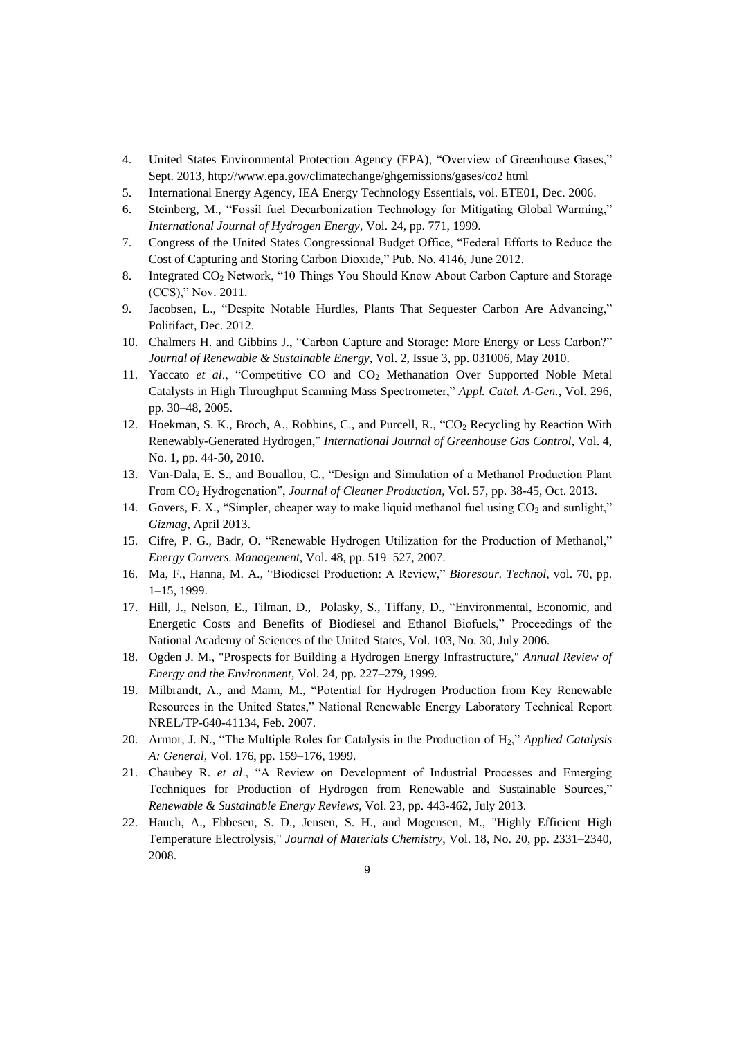- 4. United States Environmental Protection Agency (EPA), "Overview of Greenhouse Gases," Sept. 2013, http://www.epa.gov/climatechange/ghgemissions/gases/co2 html
- 5. International Energy Agency, IEA Energy Technology Essentials, vol. ETE01, Dec. 2006.
- 6. Steinberg, M., "Fossil fuel Decarbonization Technology for Mitigating Global Warming," *International Journal of Hydrogen Energy*, Vol. 24, pp. 771, 1999.
- 7. Congress of the United States Congressional Budget Office, "Federal Efforts to Reduce the Cost of Capturing and Storing Carbon Dioxide," Pub. No. 4146, June 2012.
- 8. Integrated CO<sup>2</sup> Network, "10 Things You Should Know About Carbon Capture and Storage (CCS)," Nov. 2011.
- 9. Jacobsen, L., "Despite Notable Hurdles, Plants That Sequester Carbon Are Advancing," Politifact, Dec. 2012.
- 10. Chalmers H. and Gibbins J., "Carbon Capture and Storage: More Energy or Less Carbon?" *Journal of Renewable & Sustainable Energy*, Vol. 2, Issue 3, pp. 031006, May 2010.
- 11. Yaccato *et al*., "Competitive CO and CO2 Methanation Over Supported Noble Metal Catalysts in High Throughput Scanning Mass Spectrometer," *Appl. Catal. A-Gen.*, Vol. 296, pp. 30–48, 2005.
- 12. Hoekman, S. K., Broch, A., Robbins, C., and Purcell, R., "CO2 Recycling by Reaction With Renewably-Generated Hydrogen," *International Journal of Greenhouse Gas Control*, Vol. 4, No. 1, pp. 44-50, 2010.
- 13. Van-Dala, E. S., and Bouallou, C., "Design and Simulation of a Methanol Production Plant From CO2 Hydrogenation", *Journal of Cleaner Production*, Vol. 57, pp. 38-45, Oct. 2013.
- 14. Govers, F. X., "Simpler, cheaper way to make liquid methanol fuel using  $CO<sub>2</sub>$  and sunlight," *Gizmag*, April 2013.
- 15. Cifre, P. G., Badr, O. "Renewable Hydrogen Utilization for the Production of Methanol," *Energy Convers. Management*, Vol. 48, pp. 519–527, 2007.
- 16. Ma, F., Hanna, M. A., "Biodiesel Production: A Review," *Bioresour. Technol*, vol. 70, pp. 1–15, 1999.
- 17. Hill, J., Nelson, E., Tilman, D., Polasky, S., Tiffany, D., "Environmental, Economic, and Energetic Costs and Benefits of Biodiesel and Ethanol Biofuels," Proceedings of the National Academy of Sciences of the United States, Vol. 103, No. 30, July 2006.
- 18. Ogden J. M., "Prospects for Building a Hydrogen Energy Infrastructure," *Annual Review of Energy and the Environment*, Vol. 24, pp. 227–279, 1999.
- 19. Milbrandt, A., and Mann, M., "Potential for Hydrogen Production from Key Renewable Resources in the United States," National Renewable Energy Laboratory Technical Report NREL/TP-640-41134, Feb. 2007.
- 20. Armor, J. N., "The Multiple Roles for Catalysis in the Production of H2," *Applied Catalysis A: General*, Vol. 176, pp. 159–176, 1999.
- 21. Chaubey R. *et al*., "A Review on Development of Industrial Processes and Emerging Techniques for Production of Hydrogen from Renewable and Sustainable Sources," *Renewable & Sustainable Energy Reviews*, Vol. 23, pp. 443-462, July 2013.
- 22. Hauch, A., Ebbesen, S. D., Jensen, S. H., and Mogensen, M., "Highly Efficient High Temperature Electrolysis," *Journal of Materials Chemistry*, Vol. 18, No. 20, pp. 2331–2340, 2008.